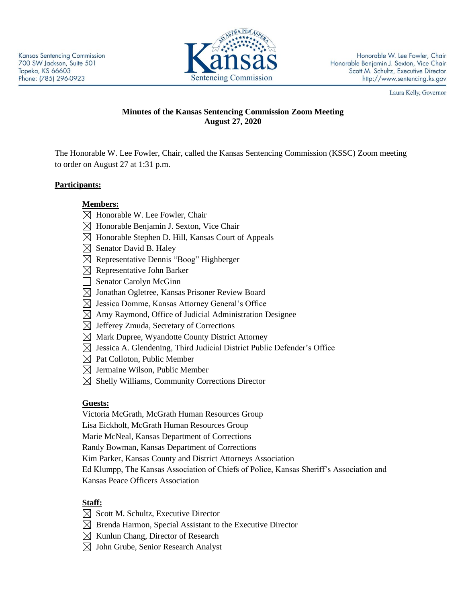

Honorable W. Lee Fowler, Chair Honorable Benjamin J. Sexton, Vice Chair Scott M. Schultz, Executive Director http://www.sentencing.ks.gov

Laura Kelly, Governor

## **Minutes of the Kansas Sentencing Commission Zoom Meeting August 27, 2020**

The Honorable W. Lee Fowler, Chair, called the Kansas Sentencing Commission (KSSC) Zoom meeting to order on August 27 at 1:31 p.m.

### **Participants:**

- **Members:**
- $\boxtimes$  Honorable W. Lee Fowler, Chair
- $\boxtimes$  Honorable Benjamin J. Sexton, Vice Chair
- $\boxtimes$  Honorable Stephen D. Hill, Kansas Court of Appeals
- $\boxtimes$  Senator David B. Haley
- Representative Dennis "Boog" Highberger
- $\boxtimes$  Representative John Barker
- Senator Carolyn McGinn
- $\boxtimes$  Jonathan Ogletree, Kansas Prisoner Review Board
- $\boxtimes$  Jessica Domme, Kansas Attorney General's Office
- $\boxtimes$  Amy Raymond, Office of Judicial Administration Designee
- $\boxtimes$  Jefferey Zmuda, Secretary of Corrections
- $\boxtimes$  Mark Dupree, Wyandotte County District Attorney
- $\boxtimes$  Jessica A. Glendening, Third Judicial District Public Defender's Office
- $\boxtimes$  Pat Colloton, Public Member
- $\boxtimes$  Jermaine Wilson, Public Member
- $\boxtimes$  Shelly Williams, Community Corrections Director

### **Guests:**

Victoria McGrath, McGrath Human Resources Group

Lisa Eickholt, McGrath Human Resources Group

Marie McNeal, Kansas Department of Corrections

Randy Bowman, Kansas Department of Corrections

Kim Parker, Kansas County and District Attorneys Association

Ed Klumpp, The Kansas Association of Chiefs of Police, Kansas Sheriff's Association and Kansas Peace Officers Association

# **Staff:**

- $\boxtimes$  Scott M. Schultz, Executive Director
- $\boxtimes$  Brenda Harmon, Special Assistant to the Executive Director
- $\boxtimes$  Kunlun Chang, Director of Research
- $\boxtimes$  John Grube, Senior Research Analyst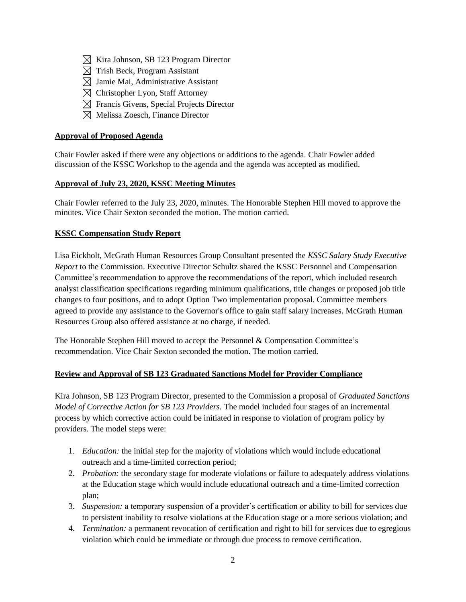- $\boxtimes$  Kira Johnson, SB 123 Program Director
- $\boxtimes$  Trish Beck, Program Assistant
- $\boxtimes$  Jamie Mai, Administrative Assistant
- $\boxtimes$  Christopher Lyon, Staff Attorney
- $\boxtimes$  Francis Givens, Special Projects Director
- $\boxtimes$  Melissa Zoesch, Finance Director

### **Approval of Proposed Agenda**

Chair Fowler asked if there were any objections or additions to the agenda. Chair Fowler added discussion of the KSSC Workshop to the agenda and the agenda was accepted as modified.

### **Approval of July 23, 2020, KSSC Meeting Minutes**

Chair Fowler referred to the July 23, 2020, minutes. The Honorable Stephen Hill moved to approve the minutes. Vice Chair Sexton seconded the motion. The motion carried.

#### **KSSC Compensation Study Report**

Lisa Eickholt, McGrath Human Resources Group Consultant presented the *KSSC Salary Study Executive Report* to the Commission. Executive Director Schultz shared the KSSC Personnel and Compensation Committee's recommendation to approve the recommendations of the report, which included research analyst classification specifications regarding minimum qualifications, title changes or proposed job title changes to four positions, and to adopt Option Two implementation proposal. Committee members agreed to provide any assistance to the Governor's office to gain staff salary increases. McGrath Human Resources Group also offered assistance at no charge, if needed.

The Honorable Stephen Hill moved to accept the Personnel & Compensation Committee's recommendation. Vice Chair Sexton seconded the motion. The motion carried.

### **Review and Approval of SB 123 Graduated Sanctions Model for Provider Compliance**

Kira Johnson, SB 123 Program Director, presented to the Commission a proposal of *Graduated Sanctions Model of Corrective Action for SB 123 Providers.* The model included four stages of an incremental process by which corrective action could be initiated in response to violation of program policy by providers. The model steps were:

- 1. *Education:* the initial step for the majority of violations which would include educational outreach and a time-limited correction period;
- 2. *Probation:* the secondary stage for moderate violations or failure to adequately address violations at the Education stage which would include educational outreach and a time-limited correction plan;
- 3. *Suspension:* a temporary suspension of a provider's certification or ability to bill for services due to persistent inability to resolve violations at the Education stage or a more serious violation; and
- 4. *Termination:* a permanent revocation of certification and right to bill for services due to egregious violation which could be immediate or through due process to remove certification.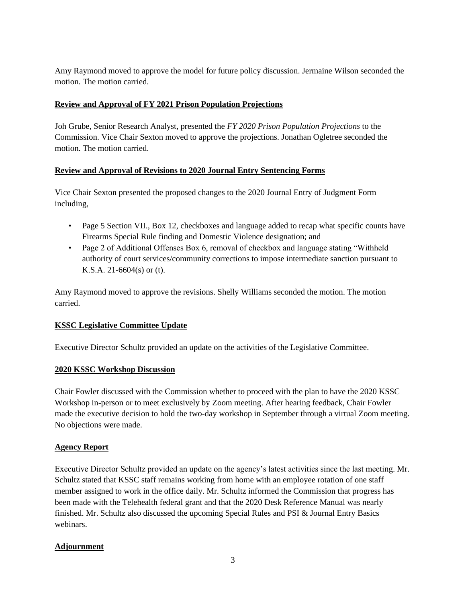Amy Raymond moved to approve the model for future policy discussion. Jermaine Wilson seconded the motion. The motion carried.

### **Review and Approval of FY 2021 Prison Population Projections**

Joh Grube, Senior Research Analyst, presented the *FY 2020 Prison Population Projections* to the Commission. Vice Chair Sexton moved to approve the projections. Jonathan Ogletree seconded the motion. The motion carried.

#### **Review and Approval of Revisions to 2020 Journal Entry Sentencing Forms**

Vice Chair Sexton presented the proposed changes to the 2020 Journal Entry of Judgment Form including,

- Page 5 Section VII., Box 12, checkboxes and language added to recap what specific counts have Firearms Special Rule finding and Domestic Violence designation; and
- Page 2 of Additional Offenses Box 6, removal of checkbox and language stating "Withheld" authority of court services/community corrections to impose intermediate sanction pursuant to K.S.A. 21-6604(s) or (t).

Amy Raymond moved to approve the revisions. Shelly Williams seconded the motion. The motion carried.

### **KSSC Legislative Committee Update**

Executive Director Schultz provided an update on the activities of the Legislative Committee.

#### **2020 KSSC Workshop Discussion**

Chair Fowler discussed with the Commission whether to proceed with the plan to have the 2020 KSSC Workshop in-person or to meet exclusively by Zoom meeting. After hearing feedback, Chair Fowler made the executive decision to hold the two-day workshop in September through a virtual Zoom meeting. No objections were made.

### **Agency Report**

Executive Director Schultz provided an update on the agency's latest activities since the last meeting. Mr. Schultz stated that KSSC staff remains working from home with an employee rotation of one staff member assigned to work in the office daily. Mr. Schultz informed the Commission that progress has been made with the Telehealth federal grant and that the 2020 Desk Reference Manual was nearly finished. Mr. Schultz also discussed the upcoming Special Rules and PSI & Journal Entry Basics webinars.

### **Adjournment**